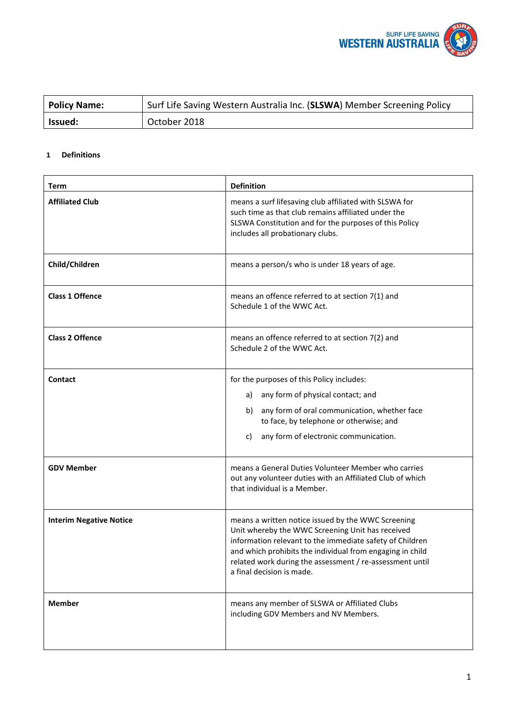

| <b>Policy Name:</b> | <sup>1</sup> Surf Life Saving Western Australia Inc. (SLSWA) Member Screening Policy |
|---------------------|--------------------------------------------------------------------------------------|
| Issued:             | October 2018                                                                         |

# **1 Definitions**

| Term                           | <b>Definition</b>                                                                                                                                                                                                                                                                                                        |
|--------------------------------|--------------------------------------------------------------------------------------------------------------------------------------------------------------------------------------------------------------------------------------------------------------------------------------------------------------------------|
| <b>Affiliated Club</b>         | means a surf lifesaving club affiliated with SLSWA for<br>such time as that club remains affiliated under the<br>SLSWA Constitution and for the purposes of this Policy<br>includes all probationary clubs.                                                                                                              |
| Child/Children                 | means a person/s who is under 18 years of age.                                                                                                                                                                                                                                                                           |
| <b>Class 1 Offence</b>         | means an offence referred to at section 7(1) and<br>Schedule 1 of the WWC Act.                                                                                                                                                                                                                                           |
| <b>Class 2 Offence</b>         | means an offence referred to at section 7(2) and<br>Schedule 2 of the WWC Act.                                                                                                                                                                                                                                           |
| <b>Contact</b>                 | for the purposes of this Policy includes:<br>any form of physical contact; and<br>a)<br>any form of oral communication, whether face<br>b)<br>to face, by telephone or otherwise; and<br>any form of electronic communication.<br>C)                                                                                     |
| <b>GDV Member</b>              | means a General Duties Volunteer Member who carries<br>out any volunteer duties with an Affiliated Club of which<br>that individual is a Member.                                                                                                                                                                         |
| <b>Interim Negative Notice</b> | means a written notice issued by the WWC Screening<br>Unit whereby the WWC Screening Unit has received<br>information relevant to the immediate safety of Children<br>and which prohibits the individual from engaging in child<br>related work during the assessment / re-assessment until<br>a final decision is made. |
| <b>Member</b>                  | means any member of SLSWA or Affiliated Clubs<br>including GDV Members and NV Members.                                                                                                                                                                                                                                   |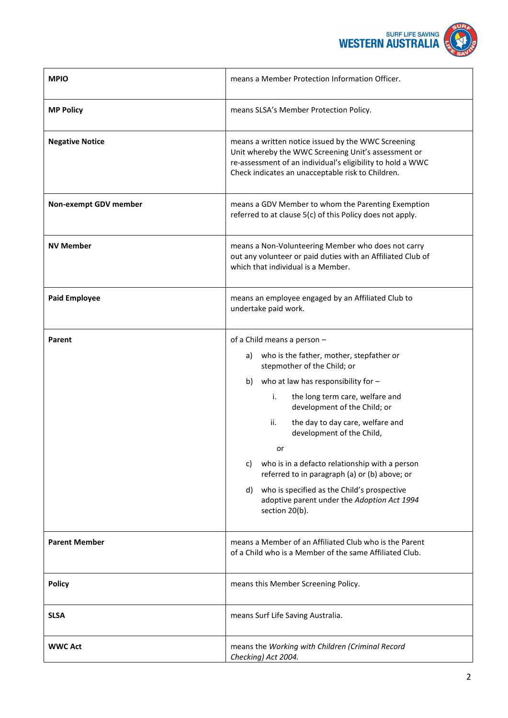

| <b>MPIO</b>            | means a Member Protection Information Officer.                                                                                                                                                                               |
|------------------------|------------------------------------------------------------------------------------------------------------------------------------------------------------------------------------------------------------------------------|
| <b>MP Policy</b>       | means SLSA's Member Protection Policy.                                                                                                                                                                                       |
| <b>Negative Notice</b> | means a written notice issued by the WWC Screening<br>Unit whereby the WWC Screening Unit's assessment or<br>re-assessment of an individual's eligibility to hold a WWC<br>Check indicates an unacceptable risk to Children. |
| Non-exempt GDV member  | means a GDV Member to whom the Parenting Exemption<br>referred to at clause 5(c) of this Policy does not apply.                                                                                                              |
| <b>NV Member</b>       | means a Non-Volunteering Member who does not carry<br>out any volunteer or paid duties with an Affiliated Club of<br>which that individual is a Member.                                                                      |
| <b>Paid Employee</b>   | means an employee engaged by an Affiliated Club to<br>undertake paid work.                                                                                                                                                   |
| Parent                 | of a Child means a person -                                                                                                                                                                                                  |
|                        | a) who is the father, mother, stepfather or<br>stepmother of the Child; or                                                                                                                                                   |
|                        | who at law has responsibility for $-$<br>b)                                                                                                                                                                                  |
|                        | the long term care, welfare and<br>i.<br>development of the Child; or                                                                                                                                                        |
|                        | ii.<br>the day to day care, welfare and<br>development of the Child,                                                                                                                                                         |
|                        | or                                                                                                                                                                                                                           |
|                        | who is in a defacto relationship with a person<br>C)<br>referred to in paragraph (a) or (b) above; or                                                                                                                        |
|                        | who is specified as the Child's prospective<br>d)<br>adoptive parent under the Adoption Act 1994<br>section 20(b).                                                                                                           |
| <b>Parent Member</b>   | means a Member of an Affiliated Club who is the Parent<br>of a Child who is a Member of the same Affiliated Club.                                                                                                            |
| <b>Policy</b>          | means this Member Screening Policy.                                                                                                                                                                                          |
| <b>SLSA</b>            | means Surf Life Saving Australia.                                                                                                                                                                                            |
| <b>WWC Act</b>         | means the Working with Children (Criminal Record<br>Checking) Act 2004.                                                                                                                                                      |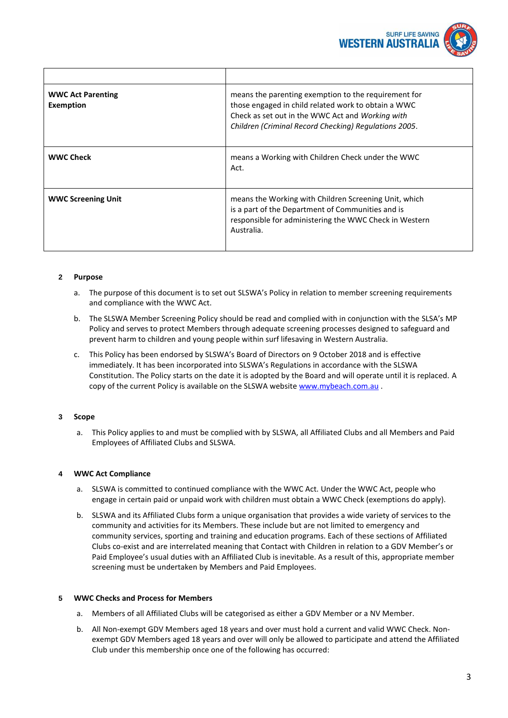

| <b>WWC Act Parenting</b><br>Exemption | means the parenting exemption to the requirement for<br>those engaged in child related work to obtain a WWC<br>Check as set out in the WWC Act and Working with<br>Children (Criminal Record Checking) Regulations 2005. |
|---------------------------------------|--------------------------------------------------------------------------------------------------------------------------------------------------------------------------------------------------------------------------|
| <b>WWC Check</b>                      | means a Working with Children Check under the WWC<br>Act.                                                                                                                                                                |
| <b>WWC Screening Unit</b>             | means the Working with Children Screening Unit, which<br>is a part of the Department of Communities and is<br>responsible for administering the WWC Check in Western<br>Australia.                                       |

### **2 Purpose**

- a. The purpose of this document is to set out SLSWA's Policy in relation to member screening requirements and compliance with the WWC Act.
- b. The SLSWA Member Screening Policy should be read and complied with in conjunction with the SLSA's MP Policy and serves to protect Members through adequate screening processes designed to safeguard and prevent harm to children and young people within surf lifesaving in Western Australia.
- c. This Policy has been endorsed by SLSWA's Board of Directors on 9 October 2018 and is effective immediately. It has been incorporated into SLSWA's Regulations in accordance with the SLSWA Constitution. The Policy starts on the date it is adopted by the Board and will operate until it is replaced. A copy of the current Policy is available on the SLSWA website [www.mybeach.com.au](http://www.mybeach.com.au/).

### **3 Scope**

a. This Policy applies to and must be complied with by SLSWA, all Affiliated Clubs and all Members and Paid Employees of Affiliated Clubs and SLSWA.

### **4 WWC Act Compliance**

- a. SLSWA is committed to continued compliance with the WWC Act. Under the WWC Act, people who engage in certain paid or unpaid work with children must obtain a WWC Check (exemptions do apply).
- b. SLSWA and its Affiliated Clubs form a unique organisation that provides a wide variety of services to the community and activities for its Members. These include but are not limited to emergency and community services, sporting and training and education programs. Each of these sections of Affiliated Clubs co-exist and are interrelated meaning that Contact with Children in relation to a GDV Member's or Paid Employee's usual duties with an Affiliated Club is inevitable. As a result of this, appropriate member screening must be undertaken by Members and Paid Employees.

### **5 WWC Checks and Process for Members**

- a. Members of all Affiliated Clubs will be categorised as either a GDV Member or a NV Member.
- b. All Non-exempt GDV Members aged 18 years and over must hold a current and valid WWC Check. Nonexempt GDV Members aged 18 years and over will only be allowed to participate and attend the Affiliated Club under this membership once one of the following has occurred: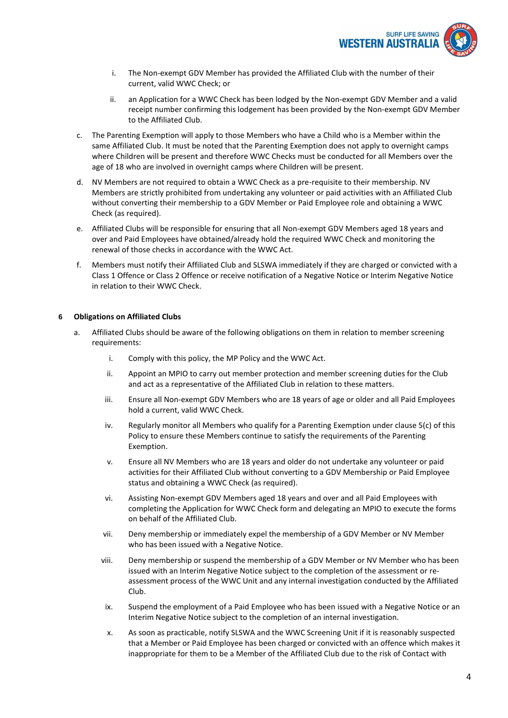

- i. The Non-exempt GDV Member has provided the Affiliated Club with the number of their current, valid WWC Check; or
- ii. an Application for a WWC Check has been lodged by the Non-exempt GDV Member and a valid receipt number confirming this lodgement has been provided by the Non-exempt GDV Member to the Affiliated Club.
- c. The Parenting Exemption will apply to those Members who have a Child who is a Member within the same Affiliated Club. It must be noted that the Parenting Exemption does not apply to overnight camps where Children will be present and therefore WWC Checks must be conducted for all Members over the age of 18 who are involved in overnight camps where Children will be present.
- d. NV Members are not required to obtain a WWC Check as a pre-requisite to their membership. NV Members are strictly prohibited from undertaking any volunteer or paid activities with an Affiliated Club without converting their membership to a GDV Member or Paid Employee role and obtaining a WWC Check (as required).
- e. Affiliated Clubs will be responsible for ensuring that all Non-exempt GDV Members aged 18 years and over and Paid Employees have obtained/already hold the required WWC Check and monitoring the renewal of those checks in accordance with the WWC Act.
- f. Members must notify their Affiliated Club and SLSWA immediately if they are charged or convicted with a Class 1 Offence or Class 2 Offence or receive notification of a Negative Notice or Interim Negative Notice in relation to their WWC Check.

### **6 Obligations on Affiliated Clubs**

- a. Affiliated Clubs should be aware of the following obligations on them in relation to member screening requirements:
	- i. Comply with this policy, the MP Policy and the WWC Act.
	- ii. Appoint an MPIO to carry out member protection and member screening duties for the Club and act as a representative of the Affiliated Club in relation to these matters.
	- iii. Ensure all Non-exempt GDV Members who are 18 years of age or older and all Paid Employees hold a current, valid WWC Check.
	- iv. Regularly monitor all Members who qualify for a Parenting Exemption under clause 5(c) of this Policy to ensure these Members continue to satisfy the requirements of the Parenting Exemption.
	- v. Ensure all NV Members who are 18 years and older do not undertake any volunteer or paid activities for their Affiliated Club without converting to a GDV Membership or Paid Employee status and obtaining a WWC Check (as required).
	- vi. Assisting Non-exempt GDV Members aged 18 years and over and all Paid Employees with completing the Application for WWC Check form and delegating an MPIO to execute the forms on behalf of the Affiliated Club.
	- vii. Deny membership or immediately expel the membership of a GDV Member or NV Member who has been issued with a Negative Notice.
	- viii. Deny membership or suspend the membership of a GDV Member or NV Member who has been issued with an Interim Negative Notice subject to the completion of the assessment or reassessment process of the WWC Unit and any internal investigation conducted by the Affiliated Club.
	- ix. Suspend the employment of a Paid Employee who has been issued with a Negative Notice or an Interim Negative Notice subject to the completion of an internal investigation.
	- x. As soon as practicable, notify SLSWA and the WWC Screening Unit if it is reasonably suspected that a Member or Paid Employee has been charged or convicted with an offence which makes it inappropriate for them to be a Member of the Affiliated Club due to the risk of Contact with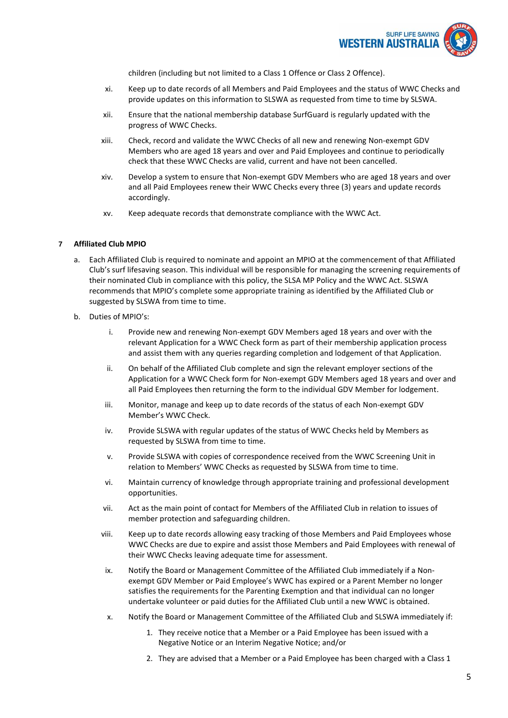

children (including but not limited to a Class 1 Offence or Class 2 Offence).

- xi. Keep up to date records of all Members and Paid Employees and the status of WWC Checks and provide updates on this information to SLSWA as requested from time to time by SLSWA.
- xii. Ensure that the national membership database SurfGuard is regularly updated with the progress of WWC Checks.
- xiii. Check, record and validate the WWC Checks of all new and renewing Non-exempt GDV Members who are aged 18 years and over and Paid Employees and continue to periodically check that these WWC Checks are valid, current and have not been cancelled.
- xiv. Develop a system to ensure that Non-exempt GDV Members who are aged 18 years and over and all Paid Employees renew their WWC Checks every three (3) years and update records accordingly.
- xv. Keep adequate records that demonstrate compliance with the WWC Act.

#### **7 Affiliated Club MPIO**

- a. Each Affiliated Club is required to nominate and appoint an MPIO at the commencement of that Affiliated Club's surf lifesaving season. This individual will be responsible for managing the screening requirements of their nominated Club in compliance with this policy, the SLSA MP Policy and the WWC Act. SLSWA recommends that MPIO's complete some appropriate training as identified by the Affiliated Club or suggested by SLSWA from time to time.
- b. Duties of MPIO's:
	- i. Provide new and renewing Non-exempt GDV Members aged 18 years and over with the relevant Application for a WWC Check form as part of their membership application process and assist them with any queries regarding completion and lodgement of that Application.
	- ii. On behalf of the Affiliated Club complete and sign the relevant employer sections of the Application for a WWC Check form for Non-exempt GDV Members aged 18 years and over and all Paid Employees then returning the form to the individual GDV Member for lodgement.
	- iii. Monitor, manage and keep up to date records of the status of each Non-exempt GDV Member's WWC Check.
	- iv. Provide SLSWA with regular updates of the status of WWC Checks held by Members as requested by SLSWA from time to time.
	- v. Provide SLSWA with copies of correspondence received from the WWC Screening Unit in relation to Members' WWC Checks as requested by SLSWA from time to time.
	- vi. Maintain currency of knowledge through appropriate training and professional development opportunities.
	- vii. Act as the main point of contact for Members of the Affiliated Club in relation to issues of member protection and safeguarding children.
	- viii. Keep up to date records allowing easy tracking of those Members and Paid Employees whose WWC Checks are due to expire and assist those Members and Paid Employees with renewal of their WWC Checks leaving adequate time for assessment.
	- ix. Notify the Board or Management Committee of the Affiliated Club immediately if a Nonexempt GDV Member or Paid Employee's WWC has expired or a Parent Member no longer satisfies the requirements for the Parenting Exemption and that individual can no longer undertake volunteer or paid duties for the Affiliated Club until a new WWC is obtained.
	- x. Notify the Board or Management Committee of the Affiliated Club and SLSWA immediately if:
		- 1. They receive notice that a Member or a Paid Employee has been issued with a Negative Notice or an Interim Negative Notice; and/or
		- 2. They are advised that a Member or a Paid Employee has been charged with a Class 1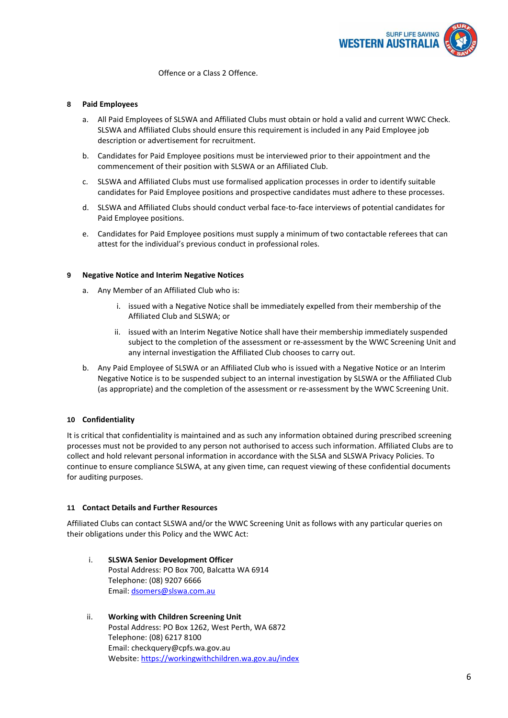

Offence or a Class 2 Offence.

#### **8 Paid Employees**

- a. All Paid Employees of SLSWA and Affiliated Clubs must obtain or hold a valid and current WWC Check. SLSWA and Affiliated Clubs should ensure this requirement is included in any Paid Employee job description or advertisement for recruitment.
- b. Candidates for Paid Employee positions must be interviewed prior to their appointment and the commencement of their position with SLSWA or an Affiliated Club.
- c. SLSWA and Affiliated Clubs must use formalised application processes in order to identify suitable candidates for Paid Employee positions and prospective candidates must adhere to these processes.
- d. SLSWA and Affiliated Clubs should conduct verbal face-to-face interviews of potential candidates for Paid Employee positions.
- e. Candidates for Paid Employee positions must supply a minimum of two contactable referees that can attest for the individual's previous conduct in professional roles.

#### **9 Negative Notice and Interim Negative Notices**

- a. Any Member of an Affiliated Club who is:
	- i. issued with a Negative Notice shall be immediately expelled from their membership of the Affiliated Club and SLSWA; or
	- ii. issued with an Interim Negative Notice shall have their membership immediately suspended subject to the completion of the assessment or re-assessment by the WWC Screening Unit and any internal investigation the Affiliated Club chooses to carry out.
- b. Any Paid Employee of SLSWA or an Affiliated Club who is issued with a Negative Notice or an Interim Negative Notice is to be suspended subject to an internal investigation by SLSWA or the Affiliated Club (as appropriate) and the completion of the assessment or re-assessment by the WWC Screening Unit.

### **10 Confidentiality**

It is critical that confidentiality is maintained and as such any information obtained during prescribed screening processes must not be provided to any person not authorised to access such information. Affiliated Clubs are to collect and hold relevant personal information in accordance with the SLSA and SLSWA Privacy Policies. To continue to ensure compliance SLSWA, at any given time, can request viewing of these confidential documents for auditing purposes.

### **11 Contact Details and Further Resources**

Affiliated Clubs can contact SLSWA and/or the WWC Screening Unit as follows with any particular queries on their obligations under this Policy and the WWC Act:

- i. **SLSWA Senior Development Officer** Postal Address: PO Box 700, Balcatta WA 6914 Telephone: (08) 9207 6666 Email: [dsomers@slswa.com.au](mailto:dsomers@slswa.com.au)
- ii. **Working with Children Screening Unit** Postal Address: PO Box 1262, West Perth, WA 6872 Telephone: (08) 6217 8100 Email: checkquery@cpfs.wa.gov.au Website[: https://workingwithchildren.wa.gov.au/index](https://workingwithchildren.wa.gov.au/index)